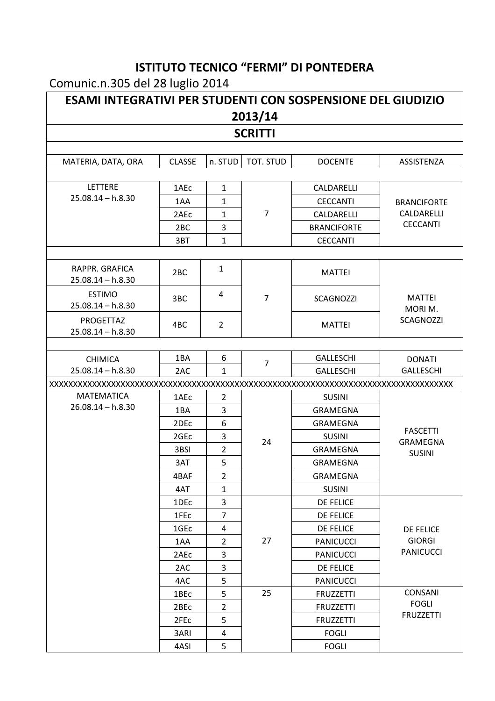## **ISTITUTO TECNICO "FERMI" DI PONTEDERA**

## Comunic.n.305 del 28 luglio 2014

| <b>ESAMI INTEGRATIVI PER STUDENTI CON SOSPENSIONE DEL GIUDIZIO</b><br>2013/14 |                  |                |                |                    |                         |  |  |  |
|-------------------------------------------------------------------------------|------------------|----------------|----------------|--------------------|-------------------------|--|--|--|
| <b>SCRITTI</b>                                                                |                  |                |                |                    |                         |  |  |  |
| MATERIA, DATA, ORA                                                            | <b>CLASSE</b>    | n. STUD        | TOT. STUD      | <b>DOCENTE</b>     | ASSISTENZA              |  |  |  |
| LETTERE                                                                       | 1AEc             | $\mathbf{1}$   |                | CALDARELLI         |                         |  |  |  |
| $25.08.14 - h.8.30$                                                           | 1AA              | $\mathbf{1}$   |                | <b>CECCANTI</b>    | <b>BRANCIFORTE</b>      |  |  |  |
|                                                                               | 2AEc             | 1              | $\overline{7}$ | CALDARELLI         | CALDARELLI              |  |  |  |
|                                                                               | 2 <sub>BC</sub>  | 3              |                | <b>BRANCIFORTE</b> | <b>CECCANTI</b>         |  |  |  |
|                                                                               | 3BT              | $\mathbf{1}$   |                | <b>CECCANTI</b>    |                         |  |  |  |
| RAPPR. GRAFICA<br>$25.08.14 - h.8.30$                                         | 2 <sub>BC</sub>  | $\mathbf{1}$   |                | <b>MATTEI</b>      |                         |  |  |  |
| <b>ESTIMO</b><br>$25.08.14 - h.8.30$                                          | 3BC              | 4              | $\overline{7}$ | SCAGNOZZI          | <b>MATTEI</b><br>MORIM. |  |  |  |
| PROGETTAZ<br>$25.08.14 - h.8.30$                                              | 4BC              | $\overline{2}$ |                | <b>MATTEI</b>      | <b>SCAGNOZZI</b>        |  |  |  |
|                                                                               |                  |                |                |                    |                         |  |  |  |
| <b>CHIMICA</b>                                                                | 1BA              | 6              | $\overline{7}$ | <b>GALLESCHI</b>   | <b>DONATI</b>           |  |  |  |
| $25.08.14 - h.8.30$                                                           | 2AC              | $\mathbf{1}$   |                | <b>GALLESCHI</b>   | <b>GALLESCHI</b>        |  |  |  |
|                                                                               |                  |                |                |                    |                         |  |  |  |
| <b>MATEMATICA</b>                                                             | 1AEc             | $\overline{2}$ |                | <b>SUSINI</b>      |                         |  |  |  |
| $26.08.14 - h.8.30$                                                           | 1BA              | 3              |                | <b>GRAMEGNA</b>    |                         |  |  |  |
|                                                                               | 2DE <sub>c</sub> | 6              |                | <b>GRAMEGNA</b>    | <b>FASCETTI</b>         |  |  |  |
|                                                                               | 2GEc             | 3              | 24             | <b>SUSINI</b>      | GRAMEGNA                |  |  |  |
|                                                                               | 3BSI             | $\overline{2}$ |                | <b>GRAMEGNA</b>    | <b>SUSINI</b>           |  |  |  |
|                                                                               | 3AT              | 5              |                | GRAMEGNA           |                         |  |  |  |
|                                                                               | 4BAF             | $\overline{2}$ |                | GRAMEGNA           |                         |  |  |  |
|                                                                               | 4AT              | 1              |                | <b>SUSINI</b>      |                         |  |  |  |
|                                                                               | 1DE <sub>c</sub> | 3              |                | <b>DE FELICE</b>   |                         |  |  |  |
|                                                                               | 1FEc             | $\overline{7}$ |                | <b>DE FELICE</b>   |                         |  |  |  |
|                                                                               | 1GE <sub>c</sub> | 4              |                | <b>DE FELICE</b>   | DE FELICE               |  |  |  |
|                                                                               | 1AA              | $\overline{2}$ | 27             | <b>PANICUCCI</b>   | <b>GIORGI</b>           |  |  |  |
|                                                                               | 2AEc             | 3              |                | <b>PANICUCCI</b>   | <b>PANICUCCI</b>        |  |  |  |
|                                                                               | 2AC              | 3              |                | <b>DE FELICE</b>   |                         |  |  |  |
|                                                                               | 4AC              | 5              |                | <b>PANICUCCI</b>   |                         |  |  |  |
|                                                                               | 1BEc             | 5              | 25             | <b>FRUZZETTI</b>   | <b>CONSANI</b>          |  |  |  |
|                                                                               | 2BEc             | $\overline{2}$ |                | <b>FRUZZETTI</b>   | <b>FOGLI</b>            |  |  |  |
|                                                                               | 2FEc             | 5              |                | <b>FRUZZETTI</b>   | <b>FRUZZETTI</b>        |  |  |  |
|                                                                               | 3ARI             | 4              |                | <b>FOGLI</b>       |                         |  |  |  |
|                                                                               | 4ASI             | 5              |                | <b>FOGLI</b>       |                         |  |  |  |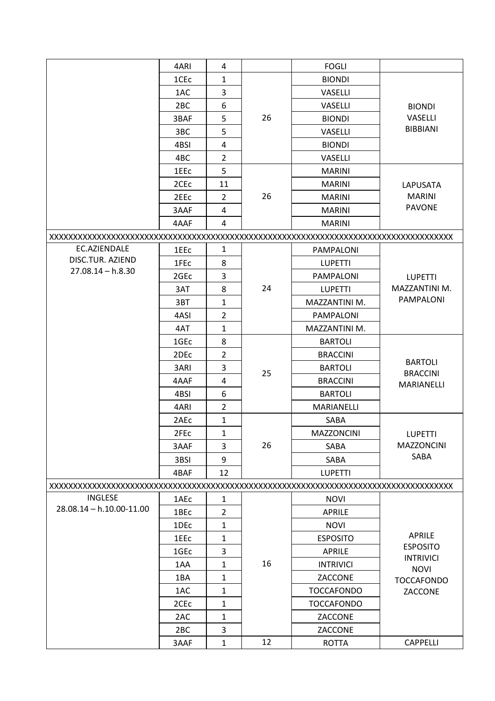|                          | 4ARI             | 4              |    | <b>FOGLI</b>      |                                  |
|--------------------------|------------------|----------------|----|-------------------|----------------------------------|
|                          | 1CE <sub>c</sub> | 1              |    | <b>BIONDI</b>     |                                  |
|                          | 1AC              | 3              |    | VASELLI           |                                  |
|                          | 2 <sub>BC</sub>  | 6              |    | <b>VASELLI</b>    | <b>BIONDI</b>                    |
|                          | 3BAF             | 5              | 26 | <b>BIONDI</b>     | <b>VASELLI</b>                   |
|                          | 3BC              | 5              |    | VASELLI           | <b>BIBBIANI</b>                  |
|                          | 4BSI             | 4              |    | <b>BIONDI</b>     |                                  |
|                          | 4BC              | $\overline{2}$ |    | VASELLI           |                                  |
|                          | 1EE <sub>C</sub> | 5              |    | <b>MARINI</b>     |                                  |
|                          | 2CE <sub>c</sub> | 11             |    | <b>MARINI</b>     | LAPUSATA                         |
|                          | 2EE <sub>C</sub> | $\overline{2}$ | 26 | <b>MARINI</b>     | <b>MARINI</b>                    |
|                          | 3AAF             | 4              |    | <b>MARINI</b>     | <b>PAVONE</b>                    |
|                          | 4AAF             | 4              |    | <b>MARINI</b>     |                                  |
|                          |                  |                |    |                   |                                  |
| EC.AZIENDALE             | 1EE <sub>C</sub> | 1              |    | <b>PAMPALONI</b>  |                                  |
| DISC.TUR. AZIEND         | 1FE <sub>c</sub> | 8              |    | <b>LUPETTI</b>    |                                  |
| $27.08.14 - h.8.30$      | 2GEc             | 3              |    | <b>PAMPALONI</b>  | <b>LUPETTI</b>                   |
|                          | 3AT              | 8              | 24 | <b>LUPETTI</b>    | MAZZANTINI M.                    |
|                          | 3BT              | 1              |    | MAZZANTINI M.     | <b>PAMPALONI</b>                 |
|                          | 4ASI             | $\overline{2}$ |    | PAMPALONI         |                                  |
|                          | 4AT              | 1              |    | MAZZANTINI M.     |                                  |
|                          | 1GE <sub>c</sub> | 8              |    | <b>BARTOLI</b>    |                                  |
|                          | 2DEc             | $\overline{2}$ |    | <b>BRACCINI</b>   |                                  |
|                          | 3ARI             | 3              |    | <b>BARTOLI</b>    | <b>BARTOLI</b>                   |
|                          | 4AAF             | 4              | 25 | <b>BRACCINI</b>   | <b>BRACCINI</b><br>MARIANELLI    |
|                          | 4BSI             | 6              |    | <b>BARTOLI</b>    |                                  |
|                          | 4ARI             | $\overline{2}$ |    | <b>MARIANELLI</b> |                                  |
|                          | 2AEc             | 1              |    | SABA              |                                  |
|                          | 2FEc             | 1              |    | <b>MAZZONCINI</b> | <b>LUPETTI</b>                   |
|                          | 3AAF             | 3              | 26 | SABA              | <b>MAZZONCINI</b>                |
|                          | 3BSI             | 9              |    | SABA              | SABA                             |
|                          | 4BAF             | 12             |    | <b>LUPETTI</b>    |                                  |
|                          |                  |                |    |                   |                                  |
| <b>INGLESE</b>           | 1AEc             | $\mathbf{1}$   |    | <b>NOVI</b>       |                                  |
| 28.08.14 - h.10.00-11.00 | 1BEc             | $\overline{2}$ |    | <b>APRILE</b>     |                                  |
|                          | 1DEc             | $\mathbf{1}$   |    | <b>NOVI</b>       |                                  |
|                          | 1EEc             | $\mathbf{1}$   |    | <b>ESPOSITO</b>   | APRILE                           |
|                          | 1GEc             | 3              |    | <b>APRILE</b>     | <b>ESPOSITO</b>                  |
|                          | 1AA              | $\mathbf{1}$   | 16 | <b>INTRIVICI</b>  | <b>INTRIVICI</b>                 |
|                          | 1BA              | $\mathbf{1}$   |    | ZACCONE           | <b>NOVI</b><br><b>TOCCAFONDO</b> |
|                          | 1AC              | $\mathbf{1}$   |    | <b>TOCCAFONDO</b> | ZACCONE                          |
|                          | 2CE <sub>c</sub> | $\mathbf{1}$   |    | <b>TOCCAFONDO</b> |                                  |
|                          | 2AC              | $\mathbf{1}$   |    | ZACCONE           |                                  |
|                          | 2BC              | 3              |    | ZACCONE           |                                  |
|                          | 3AAF             | $\mathbf{1}$   | 12 | <b>ROTTA</b>      | <b>CAPPELLI</b>                  |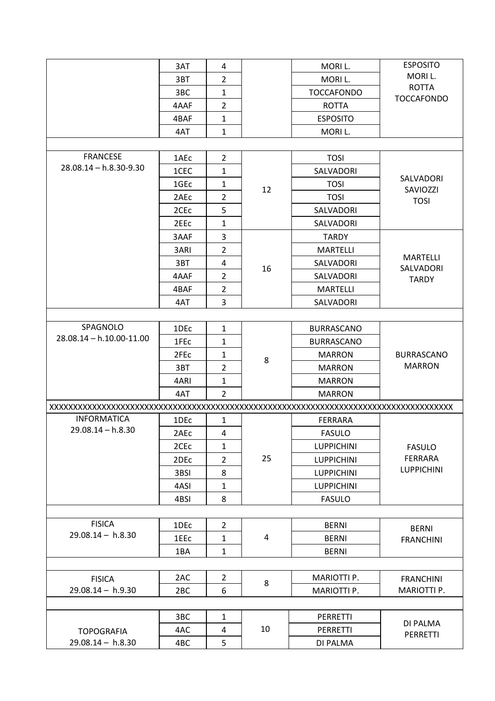|                              | 3AT              | 4              |    | MORI L.            | <b>ESPOSITO</b>                               |
|------------------------------|------------------|----------------|----|--------------------|-----------------------------------------------|
|                              | 3BT              | $\overline{2}$ |    | MORI L.            | MORI L.                                       |
|                              | 3BC              | $\mathbf{1}$   |    | <b>TOCCAFONDO</b>  | <b>ROTTA</b>                                  |
|                              | 4AAF             | $\overline{2}$ |    | <b>ROTTA</b>       | <b>TOCCAFONDO</b>                             |
|                              | 4BAF             | $\mathbf{1}$   |    | <b>ESPOSITO</b>    |                                               |
|                              | 4AT              | $\mathbf{1}$   |    | MORIL.             |                                               |
|                              |                  |                |    |                    |                                               |
| <b>FRANCESE</b>              | 1AEc             | $\overline{2}$ |    | <b>TOSI</b>        |                                               |
| $28.08.14 - h.8.30 - 9.30$   | 1CEC             | $\mathbf{1}$   |    | SALVADORI          |                                               |
|                              | 1GEc             | $\mathbf{1}$   |    | <b>TOSI</b>        | SALVADORI                                     |
|                              | 2AE <sub>c</sub> | $\overline{2}$ | 12 | <b>TOSI</b>        | SAVIOZZI<br><b>TOSI</b>                       |
|                              | 2CE <sub>c</sub> | 5              |    | SALVADORI          |                                               |
|                              | 2EE <sub>C</sub> | $\mathbf{1}$   |    | <b>SALVADORI</b>   |                                               |
|                              | 3AAF             | 3              |    | <b>TARDY</b>       |                                               |
|                              | 3ARI             | $\overline{2}$ |    | <b>MARTELLI</b>    |                                               |
|                              | 3BT              | 4              |    | SALVADORI          | <b>MARTELLI</b>                               |
|                              | 4AAF             | $\overline{2}$ | 16 | SALVADORI          | SALVADORI<br><b>TARDY</b>                     |
|                              | 4BAF             | $\overline{2}$ |    | <b>MARTELLI</b>    |                                               |
|                              | 4AT              | 3              |    | SALVADORI          |                                               |
|                              |                  |                |    |                    |                                               |
| SPAGNOLO                     | 1DEc             | $\mathbf{1}$   |    | <b>BURRASCANO</b>  |                                               |
| $28.08.14 - h.10.00 - 11.00$ | 1FE <sub>c</sub> | $\mathbf{1}$   |    | <b>BURRASCANO</b>  |                                               |
|                              | 2FEc             | $\mathbf{1}$   | 8  | <b>MARRON</b>      | <b>BURRASCANO</b><br><b>MARRON</b>            |
|                              | 3BT              | $\overline{2}$ |    | <b>MARRON</b>      |                                               |
|                              | 4ARI             | $\mathbf{1}$   |    | <b>MARRON</b>      |                                               |
|                              | 4AT              | $\overline{2}$ |    | <b>MARRON</b>      |                                               |
|                              |                  |                |    |                    |                                               |
| <b>INFORMATICA</b>           | 1DE <sub>c</sub> | $\mathbf{1}$   |    | <b>FERRARA</b>     |                                               |
| $29.08.14 - h.8.30$          | 2AEc             | 4              |    | <b>FASULO</b>      | <b>FASULO</b><br>FERRARA<br><b>LUPPICHINI</b> |
|                              | 2CE <sub>c</sub> | $\mathbf{1}$   |    | <b>LUPPICHINI</b>  |                                               |
|                              | 2DEc             | $\overline{2}$ | 25 | <b>LUPPICHINI</b>  |                                               |
|                              | 3BSI             | 8              |    | <b>LUPPICHINI</b>  |                                               |
|                              | 4ASI             | $\mathbf{1}$   |    | <b>LUPPICHINI</b>  |                                               |
|                              | 4BSI             | 8              |    | <b>FASULO</b>      |                                               |
|                              |                  |                |    |                    |                                               |
| <b>FISICA</b>                | 1DEc             | $\overline{2}$ |    | <b>BERNI</b>       | <b>BERNI</b>                                  |
| $29.08.14 - h.8.30$          | 1EEc             | $\mathbf{1}$   | 4  | <b>BERNI</b>       | <b>FRANCHINI</b>                              |
|                              | 1BA              | $\mathbf{1}$   |    | <b>BERNI</b>       |                                               |
|                              |                  |                |    |                    |                                               |
| <b>FISICA</b>                | 2AC              | $\overline{2}$ |    | MARIOTTI P.        | <b>FRANCHINI</b>                              |
| $29.08.14 - h.9.30$          | 2 <sub>BC</sub>  | 6              | 8  | <b>MARIOTTI P.</b> | MARIOTTI P.                                   |
|                              |                  |                |    |                    |                                               |
|                              | 3BC              | $\mathbf{1}$   |    | PERRETTI           |                                               |
| <b>TOPOGRAFIA</b>            | 4AC              | 4              | 10 | PERRETTI           | DI PALMA                                      |
| $29.08.14 - h.8.30$          | 4BC              | 5              |    | DI PALMA           | PERRETTI                                      |
|                              |                  |                |    |                    |                                               |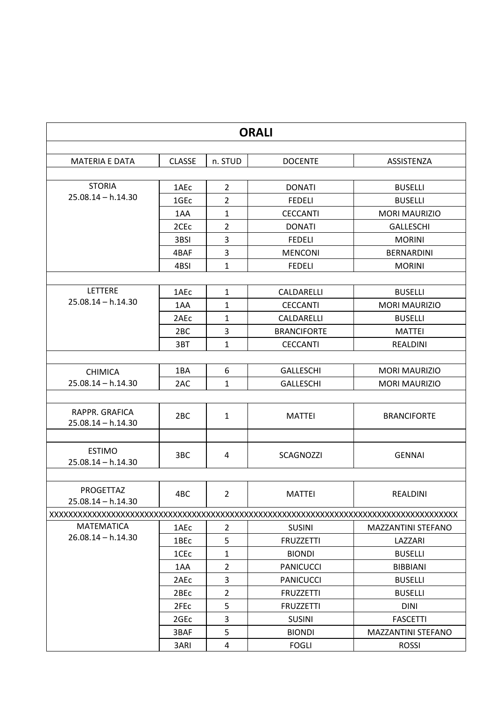| <b>ORALI</b>                           |                  |                |                    |                      |  |
|----------------------------------------|------------------|----------------|--------------------|----------------------|--|
| <b>MATERIA E DATA</b>                  | <b>CLASSE</b>    | n. STUD        | <b>DOCENTE</b>     | ASSISTENZA           |  |
|                                        |                  |                |                    |                      |  |
| <b>STORIA</b>                          | 1AEc             | $\overline{2}$ | <b>DONATI</b>      | <b>BUSELLI</b>       |  |
| $25.08.14 - h.14.30$                   | 1GE <sub>c</sub> | $\overline{2}$ | <b>FEDELI</b>      | <b>BUSELLI</b>       |  |
|                                        | 1AA              | $\mathbf{1}$   | <b>CECCANTI</b>    | <b>MORI MAURIZIO</b> |  |
|                                        | 2CE <sub>c</sub> | $\overline{2}$ | <b>DONATI</b>      | <b>GALLESCHI</b>     |  |
|                                        | 3BSI             | 3              | <b>FEDELI</b>      | <b>MORINI</b>        |  |
|                                        | 4BAF             | 3              | <b>MENCONI</b>     | <b>BERNARDINI</b>    |  |
|                                        | 4BSI             | $\mathbf{1}$   | <b>FEDELI</b>      | <b>MORINI</b>        |  |
|                                        |                  |                |                    |                      |  |
| <b>LETTERE</b>                         | 1AEc             | $\mathbf{1}$   | CALDARELLI         | <b>BUSELLI</b>       |  |
| $25.08.14 - h.14.30$                   | 1AA              | $\mathbf{1}$   | <b>CECCANTI</b>    | <b>MORI MAURIZIO</b> |  |
|                                        | 2AE <sub>C</sub> | $\mathbf{1}$   | CALDARELLI         | <b>BUSELLI</b>       |  |
|                                        | 2 <sub>BC</sub>  | 3              | <b>BRANCIFORTE</b> | <b>MATTEI</b>        |  |
|                                        | 3BT              | $\mathbf{1}$   | <b>CECCANTI</b>    | <b>REALDINI</b>      |  |
|                                        |                  |                |                    |                      |  |
| <b>CHIMICA</b>                         | 1BA              | 6              | <b>GALLESCHI</b>   | <b>MORI MAURIZIO</b> |  |
| $25.08.14 - h.14.30$                   | 2AC              | $\mathbf{1}$   | <b>GALLESCHI</b>   | <b>MORI MAURIZIO</b> |  |
|                                        |                  |                |                    |                      |  |
| RAPPR. GRAFICA<br>$25.08.14 - h.14.30$ | 2 <sub>BC</sub>  | $\mathbf{1}$   | <b>MATTEI</b>      | <b>BRANCIFORTE</b>   |  |
|                                        |                  |                |                    |                      |  |
| <b>ESTIMO</b><br>$25.08.14 - h.14.30$  | 3BC              | 4              | <b>SCAGNOZZI</b>   | <b>GENNAI</b>        |  |
|                                        |                  |                |                    |                      |  |
| PROGETTAZ<br>$25.08.14 - h.14.30$      | 4BC              | 2              | <b>MATTEI</b>      | <b>REALDINI</b>      |  |
|                                        |                  |                |                    |                      |  |
| <b>MATEMATICA</b>                      | 1AEc             | $\overline{2}$ | <b>SUSINI</b>      | MAZZANTINI STEFANO   |  |
| $26.08.14 - h.14.30$                   | 1BEc             | 5              | <b>FRUZZETTI</b>   | LAZZARI              |  |
|                                        | 1CE <sub>c</sub> | $\mathbf{1}$   | <b>BIONDI</b>      | <b>BUSELLI</b>       |  |
|                                        | 1AA              | $\overline{2}$ | <b>PANICUCCI</b>   | <b>BIBBIANI</b>      |  |
|                                        | 2AEc             | 3              | <b>PANICUCCI</b>   | <b>BUSELLI</b>       |  |
|                                        | 2BEc             | $\overline{2}$ | <b>FRUZZETTI</b>   | <b>BUSELLI</b>       |  |
|                                        | 2FEc             | 5              | <b>FRUZZETTI</b>   | <b>DINI</b>          |  |
|                                        | 2GE <sub>c</sub> | 3              | <b>SUSINI</b>      | <b>FASCETTI</b>      |  |
|                                        | 3BAF             | 5              | <b>BIONDI</b>      | MAZZANTINI STEFANO   |  |
|                                        | 3ARI             | 4              | <b>FOGLI</b>       | <b>ROSSI</b>         |  |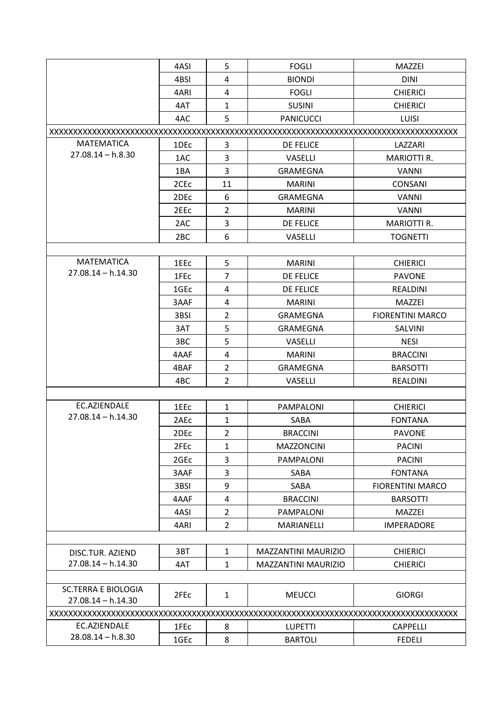|                            | 4ASI             | 5              | <b>FOGLI</b>               | MAZZEI                  |  |  |  |
|----------------------------|------------------|----------------|----------------------------|-------------------------|--|--|--|
|                            | 4BSI             | 4              | <b>BIONDI</b>              | <b>DINI</b>             |  |  |  |
|                            | 4ARI             | 4              | <b>FOGLI</b>               | <b>CHIERICI</b>         |  |  |  |
|                            | 4AT              | $\mathbf{1}$   | <b>SUSINI</b>              | <b>CHIERICI</b>         |  |  |  |
|                            | 4AC              | 5              | <b>PANICUCCI</b>           | <b>LUISI</b>            |  |  |  |
|                            |                  |                |                            |                         |  |  |  |
| <b>MATEMATICA</b>          | 1DE <sub>c</sub> | 3              | DE FELICE                  | LAZZARI                 |  |  |  |
| $27.08.14 - h.8.30$        | 1AC              | 3              | <b>VASELLI</b>             | <b>MARIOTTI R.</b>      |  |  |  |
|                            | 1BA              | $\overline{3}$ | <b>GRAMEGNA</b>            | <b>VANNI</b>            |  |  |  |
|                            | 2CE <sub>c</sub> | 11             | <b>MARINI</b>              | <b>CONSANI</b>          |  |  |  |
|                            | 2DE <sub>c</sub> | 6              | <b>GRAMEGNA</b>            | <b>VANNI</b>            |  |  |  |
|                            | 2EE <sub>C</sub> | $\overline{2}$ | <b>MARINI</b>              | <b>VANNI</b>            |  |  |  |
|                            | 2AC              | 3              | DE FELICE                  | MARIOTTI R.             |  |  |  |
|                            | 2 <sub>BC</sub>  | 6              | VASELLI                    | <b>TOGNETTI</b>         |  |  |  |
|                            |                  |                |                            |                         |  |  |  |
| <b>MATEMATICA</b>          | 1EEc             | 5              | <b>MARINI</b>              | <b>CHIERICI</b>         |  |  |  |
| $27.08.14 - h.14.30$       | 1FE <sub>c</sub> | $\overline{7}$ | <b>DE FELICE</b>           | <b>PAVONE</b>           |  |  |  |
|                            | 1GE <sub>c</sub> | 4              | <b>DE FELICE</b>           | <b>REALDINI</b>         |  |  |  |
|                            | 3AAF             | 4              | <b>MARINI</b>              | <b>MAZZEI</b>           |  |  |  |
|                            | 3BSI             | $\overline{2}$ | <b>GRAMEGNA</b>            | <b>FIORENTINI MARCO</b> |  |  |  |
|                            | 3AT              | 5              | <b>GRAMEGNA</b>            | SALVINI                 |  |  |  |
|                            | 3BC              | 5              | VASELLI                    | <b>NESI</b>             |  |  |  |
|                            | 4AAF             | 4              | <b>MARINI</b>              | <b>BRACCINI</b>         |  |  |  |
|                            | 4BAF             | $\overline{2}$ | <b>GRAMEGNA</b>            | <b>BARSOTTI</b>         |  |  |  |
|                            | 4BC              | $\overline{2}$ | VASELLI                    | <b>REALDINI</b>         |  |  |  |
|                            |                  |                |                            |                         |  |  |  |
| EC.AZIENDALE               | 1EEc             | $\mathbf{1}$   | <b>PAMPALONI</b>           | <b>CHIERICI</b>         |  |  |  |
| $27.08.14 - h.14.30$       | 2AEc             | $\mathbf{1}$   | SABA                       | <b>FONTANA</b>          |  |  |  |
|                            | 2DEc             | $\overline{2}$ | <b>BRACCINI</b>            | <b>PAVONE</b>           |  |  |  |
|                            | 2FE <sub>c</sub> | $\mathbf{1}$   | <b>MAZZONCINI</b>          | <b>PACINI</b>           |  |  |  |
|                            | 2GE <sub>c</sub> | 3              | PAMPALONI                  | <b>PACINI</b>           |  |  |  |
|                            | 3AAF             | 3              | SABA                       | <b>FONTANA</b>          |  |  |  |
|                            | 3BSI             | 9              | SABA                       | <b>FIORENTINI MARCO</b> |  |  |  |
|                            | 4AAF             | 4              | <b>BRACCINI</b>            | <b>BARSOTTI</b>         |  |  |  |
|                            | 4ASI             | $\overline{2}$ | <b>PAMPALONI</b>           | <b>MAZZEI</b>           |  |  |  |
|                            | 4ARI             | $\overline{2}$ | MARIANELLI                 | <b>IMPERADORE</b>       |  |  |  |
|                            |                  |                |                            |                         |  |  |  |
| DISC.TUR. AZIEND           | 3BT              | $\mathbf{1}$   | <b>MAZZANTINI MAURIZIO</b> | <b>CHIERICI</b>         |  |  |  |
| $27.08.14 - h.14.30$       | 4AT              | $\mathbf{1}$   | <b>MAZZANTINI MAURIZIO</b> | <b>CHIERICI</b>         |  |  |  |
|                            |                  |                |                            |                         |  |  |  |
| <b>SC.TERRA E BIOLOGIA</b> |                  |                |                            |                         |  |  |  |
| $27.08.14 - h.14.30$       | 2FEc             | $\mathbf{1}$   | <b>MEUCCI</b>              | <b>GIORGI</b>           |  |  |  |
|                            |                  |                |                            |                         |  |  |  |
| EC.AZIENDALE               | 1FEc             | 8              | <b>LUPETTI</b>             | <b>CAPPELLI</b>         |  |  |  |
| $28.08.14 - h.8.30$        | 1GEc             | 8              | <b>BARTOLI</b>             | <b>FEDELI</b>           |  |  |  |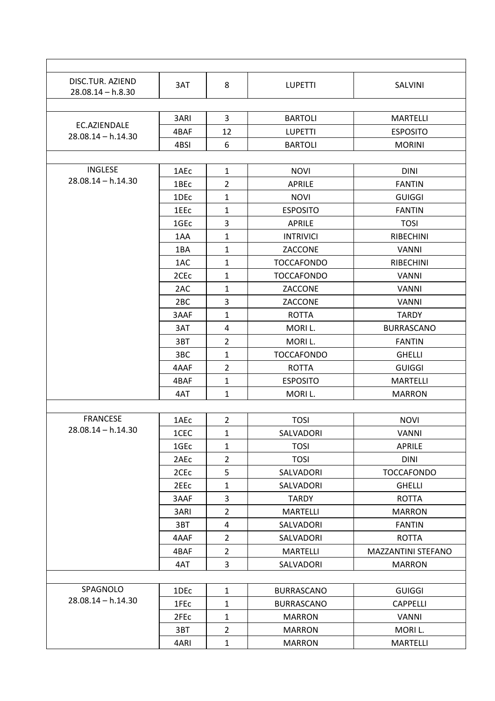| DISC.TUR. AZIEND<br>$28.08.14 - h.8.30$ | 3AT              | 8              | <b>LUPETTI</b>    | SALVINI            |
|-----------------------------------------|------------------|----------------|-------------------|--------------------|
|                                         | 3ARI             | $\overline{3}$ | <b>BARTOLI</b>    | <b>MARTELLI</b>    |
| EC.AZIENDALE                            | 4BAF             | 12             | <b>LUPETTI</b>    | <b>ESPOSITO</b>    |
| $28.08.14 - h.14.30$                    | 4BSI             | 6              | <b>BARTOLI</b>    | <b>MORINI</b>      |
|                                         |                  |                |                   |                    |
| <b>INGLESE</b>                          | 1AEc             | $\mathbf{1}$   | <b>NOVI</b>       | <b>DINI</b>        |
| $28.08.14 - h.14.30$                    | 1BEc             | $\overline{2}$ | <b>APRILE</b>     | <b>FANTIN</b>      |
|                                         | 1DEc             | $\mathbf{1}$   | <b>NOVI</b>       | <b>GUIGGI</b>      |
|                                         | 1EEc             | $\mathbf{1}$   | <b>ESPOSITO</b>   | <b>FANTIN</b>      |
|                                         | 1GE <sub>c</sub> | 3              | <b>APRILE</b>     | <b>TOSI</b>        |
|                                         | 1AA              | $\mathbf{1}$   | <b>INTRIVICI</b>  | <b>RIBECHINI</b>   |
|                                         | 1BA              | $\mathbf{1}$   | ZACCONE           | <b>VANNI</b>       |
|                                         | 1AC              | $\mathbf{1}$   | <b>TOCCAFONDO</b> | <b>RIBECHINI</b>   |
|                                         | 2CE <sub>c</sub> | $\mathbf{1}$   | <b>TOCCAFONDO</b> | <b>VANNI</b>       |
|                                         | 2AC              | $\mathbf{1}$   | ZACCONE           | <b>VANNI</b>       |
|                                         | 2 <sub>BC</sub>  | 3              | ZACCONE           | <b>VANNI</b>       |
|                                         | 3AAF             | $\mathbf{1}$   | <b>ROTTA</b>      | <b>TARDY</b>       |
|                                         | 3AT              | $\overline{4}$ | MORI L.           | <b>BURRASCANO</b>  |
|                                         | 3BT              | $\overline{2}$ | MORI L.           | <b>FANTIN</b>      |
|                                         | 3BC              | $\mathbf{1}$   | <b>TOCCAFONDO</b> | <b>GHELLI</b>      |
|                                         | 4AAF             | $\overline{2}$ | <b>ROTTA</b>      | <b>GUIGGI</b>      |
|                                         | 4BAF             | $\mathbf{1}$   | <b>ESPOSITO</b>   | <b>MARTELLI</b>    |
|                                         | 4AT              | $\mathbf{1}$   | MORI L.           | <b>MARRON</b>      |
|                                         |                  |                |                   |                    |
| <b>FRANCESE</b>                         | 1AEc             | $\overline{2}$ | <b>TOSI</b>       | <b>NOVI</b>        |
| $28.08.14 - h.14.30$                    | 1CEC             | $\mathbf 1$    | SALVADORI         | <b>VANNI</b>       |
|                                         | 1GE <sub>c</sub> | $\mathbf{1}$   | <b>TOSI</b>       | <b>APRILE</b>      |
|                                         | 2AEc             | $\overline{2}$ | <b>TOSI</b>       | <b>DINI</b>        |
|                                         | 2CE <sub>c</sub> | 5              | SALVADORI         | <b>TOCCAFONDO</b>  |
|                                         | 2EEc             | $\mathbf{1}$   | SALVADORI         | <b>GHELLI</b>      |
|                                         | 3AAF             | 3              | <b>TARDY</b>      | <b>ROTTA</b>       |
|                                         | 3ARI             | $\overline{2}$ | <b>MARTELLI</b>   | <b>MARRON</b>      |
|                                         | 3BT              | 4              | SALVADORI         | <b>FANTIN</b>      |
|                                         | 4AAF             | $\overline{2}$ | SALVADORI         | <b>ROTTA</b>       |
|                                         | 4BAF             | $\overline{2}$ | <b>MARTELLI</b>   | MAZZANTINI STEFANO |
|                                         | 4AT              | 3              | SALVADORI         | <b>MARRON</b>      |
|                                         |                  |                |                   |                    |
| SPAGNOLO                                | 1DEc             | $\mathbf{1}$   | <b>BURRASCANO</b> | <b>GUIGGI</b>      |
| $28.08.14 - h.14.30$                    | 1FEc             | $\mathbf{1}$   | <b>BURRASCANO</b> | <b>CAPPELLI</b>    |
|                                         | 2FEc             | $\mathbf{1}$   | <b>MARRON</b>     | <b>VANNI</b>       |
|                                         | 3BT              | $\overline{2}$ | <b>MARRON</b>     | MORI L.            |
|                                         | 4ARI             | $\mathbf{1}$   | <b>MARRON</b>     | <b>MARTELLI</b>    |